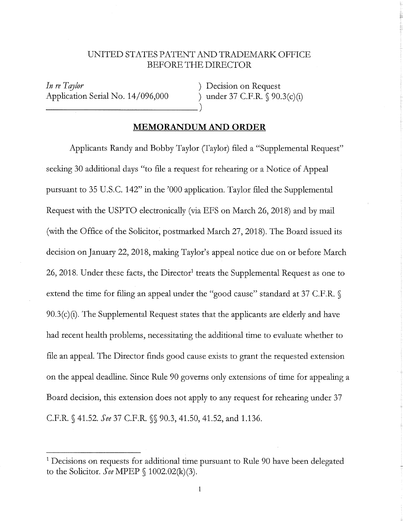## UNITED STATES PATENT AND TRADEMARI< OFFICE BEFORE THE DIRECTOR

*In re Tqy!or*  Application Serial No. 14/096,000 ) under 37 C.F.R. § 90.3(c)(i)

) Decision on Request

## **MEMORANDUM AND ORDER**

Applicants Randy and Bobby Taylor (Taylor) filed a "Supplemental Request" seeking 30 additional days "to file a request for rehearing or a Notice of Appeal pursuant to 35 U.S.C. 142" in the '000 application. Taylor filed the Supplemental Request with the USPTO electronically (via EFS on March 26, 2018) and by mail (with the Office of the Solicitor, postmarked March 27, 2018). The Board issued its decision on January 22, 2018, making Taylor's appeal notice due on or before March 26, 2018. Under these facts, the Director<sup>1</sup> treats the Supplemental Request as one to extend the time for filing an appeal under the "good cause" standard at 37 C.F.R.  $\mathcal{S}$  $90.3(c)(i)$ . The Supplemental Request states that the applicants are elderly and have had recent health problems, necessitating the additional time to evaluate whether to file an appeal. The Director finds good cause exists to grant the requested extension on the appeal deadline. Since Rule 90 governs only extensions of time for appealing a Board decision, this extension does not apply to any request for rehearing under 37 C.F.R. § 41.52. *See* 37 C.F.R. §§ 90.3, 41.50, 41.52, and 1.136.

<sup>&</sup>lt;sup>1</sup> Decisions on requests for additional time pursuant to Rule 90 have been delegated to the Solicitor. *See* MPEP § 1002.02(k)(3).